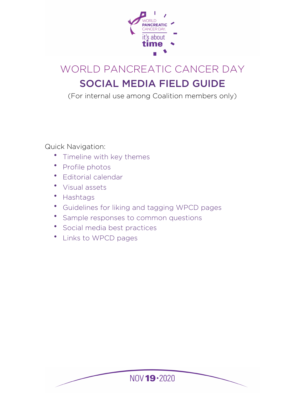

# WORLD PANCREATIC CANCER DAY SOCIAL MEDIA FIELD GUIDE

(For internal use among Coalition members only)

Quick Navigation:

- [Timeline with key themes](#page-1-0)
- [Profile photos](#page-2-0)
- [Editorial calendar](#page-2-1)
- [Visual assets](#page-3-0)
- [Hashtags](#page-4-0)
- [Guidelines for liking and tagging WPCD pages](#page-4-1)
- [Sample responses to common questions](#page-5-0)
- [Social media best practices](#page-7-0)
- [Links to WPCD pages](#page-7-1)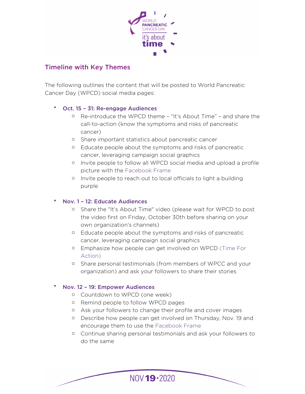

## <span id="page-1-0"></span>Timeline with Key Themes

The following outlines the content that will be posted to World Pancreatic Cancer Day (WPCD) social media pages:

## • Oct. 15 – 31: Re-engage Audiences

- o Re-introduce the WPCD theme "It's About Time" and share the call-to-action (know the symptoms and risks of pancreatic cancer)
- o Share important statistics about pancreatic cancer
- o Educate people about the symptoms and risks of pancreatic cancer, leveraging campaign social graphics
- o Invite people to follow all WPCD social media and upload a profile picture with the [Facebook Frame](http://www.facebook.com/profilepicframes/?selected_overlay_id=765780474266348)
- o Invite people to reach out to local officials to light a building purple

#### • Nov. 1 – 12: Educate Audiences

- o Share the "It's About Time" video (please wait for WPCD to post the video first on Friday, October 30th before sharing on your own organization's channels)
- o Educate people about the symptoms and risks of pancreatic cancer, leveraging campaign social graphics
- o Emphasize how people can get involved on WPCD ([Time For](http://wpcd.worldpancreaticcancercoalition.org/world-pancreatic-cancer-day/time-for-action/)  [Action\)](http://wpcd.worldpancreaticcancercoalition.org/world-pancreatic-cancer-day/time-for-action/)
- o Share personal testimonials (from members of WPCC and your organization) and ask your followers to share their stories

#### • Nov. 12 – 19: Empower Audiences

- o Countdown to WPCD (one week)
- o Remind people to follow WPCD pages
- o Ask your followers to change their profile and cover images
- o Describe how people can get involved on Thursday, Nov. 19 and encourage them to use the [Facebook Frame](http://www.facebook.com/profilepicframes/?selected_overlay_id=765780474266348)
- o Continue sharing personal testimonials and ask your followers to do the same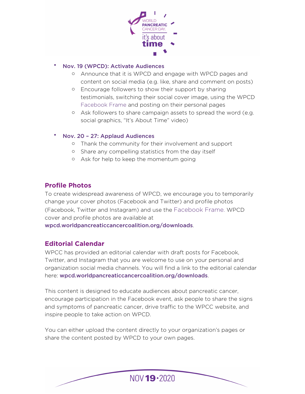

## • Nov. 19 (WPCD): Activate Audiences

- o Announce that it is WPCD and engage with WPCD pages and content on social media (e.g. like, share and comment on posts)
- o Encourage followers to show their support by sharing testimonials, switching their social cover image, using the WPCD [Facebook Frame](http://www.facebook.com/profilepicframes/?selected_overlay_id=765780474266348) and posting on their personal pages
- o Ask followers to share campaign assets to spread the word (e.g. social graphics, "It's About Time" video)
- Nov. 20 27: Applaud Audiences
	- o Thank the community for their involvement and support
	- o Share any compelling statistics from the day itself
	- o Ask for help to keep the momentum going

# <span id="page-2-0"></span>**Profile Photos**

To create widespread awareness of WPCD, we encourage you to temporarily change your cover photos (Facebook and Twitter) and profile photos (Facebook, Twitter and Instagram) and use the [Facebook Frame](http://www.facebook.com/profilepicframes/?selected_overlay_id=765780474266348). WPCD cover and profile photos are available at

[wpcd.worldpancreaticcancercoalition.org/downloads](http://wpcd.worldpancreaticcancercoalition.org/downloads).

## <span id="page-2-1"></span>**Editorial Calendar**

WPCC has provided an editorial calendar with draft posts for Facebook, Twitter, and Instagram that you are welcome to use on your personal and organization social media channels. You will find a link to the editorial calendar here: [wpcd.worldpancreaticcancercoalition.org/downloads](http://wpcd.worldpancreaticcancercoalition.org/downloads).

This content is designed to educate audiences about pancreatic cancer, encourage participation in the Facebook event, ask people to share the signs and symptoms of pancreatic cancer, drive traffic to the WPCC website, and inspire people to take action on WPCD.

You can either upload the content directly to your organization's pages or share the content posted by WPCD to your own pages.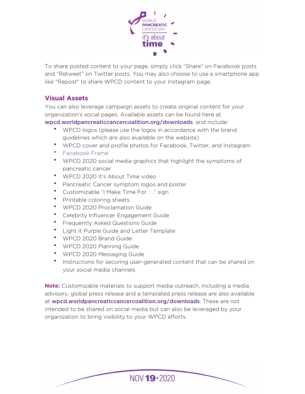

To share posted content to your page, simply click "Share" on Facebook posts and "Retweet" on Twitter posts. You may also choose to use a smartphone app like "Repost" to share WPCD content to your Instagram page.

# <span id="page-3-0"></span>**Visual Assets**

You can also leverage campaign assets to create original content for your organization's social pages. Available assets can be found here at

[wpcd.worldpancreaticcancercoalition.org/downloads](http://wpcd.worldpancreaticcancercoalition.org/downloads). and include:

- WPCD logos (please use the logos in accordance with the brand guidelines which are also available on the website)
- WPCD cover and profile photos for Facebook, Twitter, and Instagram
- [Facebook Frame](http://www.facebook.com/profilepicframes/?selected_overlay_id=765780474266348)
- WPCD 2020 social media graphics that highlight the symptoms of pancreatic cancer
- WPCD 2020 It's About Time video
- Pancreatic Cancer symptom logos and poster
- Customizable "I Make Time For. . ." sign
- Printable coloring sheets
- WPCD 2020 Proclamation Guide
- Celebrity Influencer Engagement Guide
- Frequently Asked Questions Guide
- Light It Purple Guide and Letter Template
- WPCD 2020 Brand Guide
- WPCD 2020 Planning Guide
- WPCD 2020 Messaging Guide
- Instructions for securing user-generated content that can be shared on your social media channels

**Note:** Customizable materials to support media outreach, including a media advisory, global press release and a templated press release are also available at [wpcd.worldpancreaticcancercoalition.org/downloads](http://wpcd.worldpancreaticcancercoalition.org/downloads). These are not intended to be shared on social media but can also be leveraged by your organization to bring visibility to your WPCD efforts.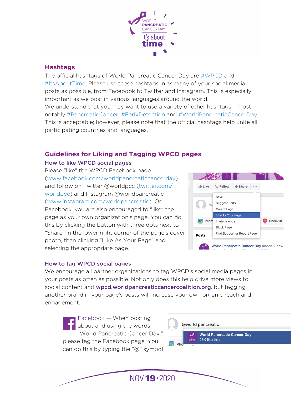

## <span id="page-4-0"></span>**Hashtags**

The official hashtags of World Pancreatic Cancer Day are #WPCD and #ItsAboutTime. Please use these hashtags in as many of your social media posts as possible, from Facebook to Twitter and Instagram. This is especially important as we post in various languages around the world. We understand that you may want to use a variety of other hashtags – most notably #PancreaticCancer, #EarlyDetection and #WorldPancreaticCancerDay. This is acceptable; however, please note that the official hashtags help unite all participating countries and languages.

# <span id="page-4-1"></span>**Guidelines for Liking and Tagging WPCD pages**

#### How to like WPCD social pages

Please "like" the WPCD Facebook page (www.facebook.com/worldpancreaticcancerday) and follow on Twitter @worldpcc (twitter.com/ worldpcc) and Instagram @worldpancreatic (www.instagram.com/worldpancreatic). On Facebook, you are also encouraged to "like" the page as your own organization's page. You can do this by clicking the button with three dots next to "Share" in the lower right corner of the page's cover photo, then clicking "Like As Your Page" and selecting the appropriate page.



#### How to tag WPCD social pages

We encourage all partner organizations to tag WPCD's social media pages in your posts as often as possible. Not only does this help drive more views to social content and [wpcd.worldpancreaticcancercoalition.org](http://wpcd.worldpancreaticcancercoalition.org). but tagging another brand in your page's posts will increase your own organic reach and engagement.

Facebook — When posting about and using the words "World Pancreatic Cancer Day," please tag the Facebook page. You can do this by typing the "@" symbol

@world pancreatic **World Pancreatic Cancer Day** 26K like this  $\circ$  Dh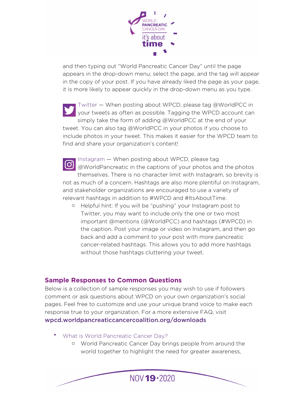

and then typing out "World Pancreatic Cancer Day" until the page appears in the drop-down menu; select the page, and the tag will appear in the copy of your post. If you have already liked the page as your page, it is more likely to appear quickly in the drop-down menu as you type.

Twitter — When posting about WPCD, please tag @WorldPCC in your tweets as often as possible. Tagging the WPCD account can simply take the form of adding @WorldPCC at the end of your tweet. You can also tag @WorldPCC in your photos if you choose to include photos in your tweet. This makes it easier for the WPCD team to find and share your organization's content!

Instagram — When posting about WPCD, please tag  $\boxed{0}$ @WorldPancreatic in the captions of your photos and the photos themselves. There is no character limit with Instagram, so brevity is not as much of a concern. Hashtags are also more plentiful on Instagram, and stakeholder organizations are encouraged to use a variety of relevant hashtags in addition to #WPCD and #ItsAboutTime.

o Helpful hint: If you will be "pushing" your Instagram post to Twitter, you may want to include only the one or two most important @mentions (@WorldPCC) and hashtags (#WPCD) in the caption. Post your image or video on Instagram, and then go back and add a comment to your post with more pancreatic cancer-related hashtags. This allows you to add more hashtags without those hashtags cluttering your tweet.

## <span id="page-5-0"></span>**Sample Responses to Common Questions**

Below is a collection of sample responses you may wish to use if followers comment or ask questions about WPCD on your own organization's social pages. Feel free to customize and use your unique brand voice to make each response true to your organization. For a more extensive FAQ, visit [wpcd.worldpancreaticcancercoalition.org/downloads](http://wpcd.worldpancreaticcancercoalition.org/downloads)

- What is World Pancreatic Cancer Day?
	- o World Pancreatic Cancer Day brings people from around the world together to highlight the need for greater awareness,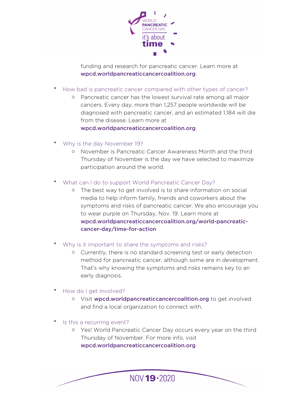

funding and research for pancreatic cancer. Learn more at [wpcd.worldpancreaticcancercoalition.org](http://wpcd.worldpancreaticcancercoalition.org).

- How bad is pancreatic cancer compared with other types of cancer?
	- o Pancreatic cancer has the lowest survival rate among all major cancers. Every day, more than 1,257 people worldwide will be diagnosed with pancreatic cancer, and an estimated 1,184 will die from the disease. Learn more at

[wpcd.worldpancreaticcancercoalition.org](http://wpcd.worldpancreaticcancercoalition.org).

- Why is the day November 19?
	- November is Pancreatic Cancer Awareness Month and the third Thursday of November is the day we have selected to maximize participation around the world.
- What can I do to support World Pancreatic Cancer Day?
	- o The best way to get involved is to share information on social media to help inform family, friends and coworkers about the symptoms and risks of pancreatic cancer. We also encourage you to wear purple on Thursday, Nov. 19. Learn more at [wpcd.worldpancreaticcancercoalition.org/world-pancreatic](http://wpcd.worldpancreaticcancercoalition.org/world-pancreatic-cancer-day/time-for-action)[cancer-day/time-for-action](http://wpcd.worldpancreaticcancercoalition.org/world-pancreatic-cancer-day/time-for-action)
- Why is it important to share the symptoms and risks?
	- o Currently, there is no standard screening test or early detection method for pancreatic cancer, although some are in development. That's why knowing the symptoms and risks remains key to an early diagnosis.
- How do I get involved?
	- o Visit [wpcd.worldpancreaticcancercoalition.org](http://wpcd.worldpancreaticcancercoalition.org) to get involved and find a local organization to connect with.
- Is this a recurring event?
	- o Yes! World Pancreatic Cancer Day occurs every year on the third Thursday of November. For more info, visit [wpcd.worldpancreaticcancercoalition.org](http://wpcd.worldpancreaticcancercoalition.org)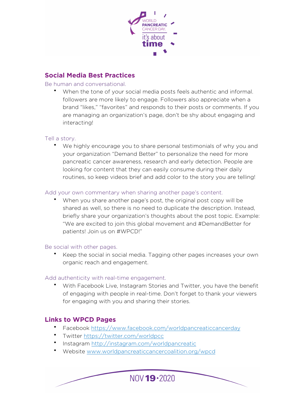

## <span id="page-7-0"></span>**Social Media Best Practices**

#### Be human and conversational.

• When the tone of your social media posts feels authentic and informal. followers are more likely to engage. Followers also appreciate when a brand "likes," "favorites" and responds to their posts or comments. If you are managing an organization's page, don't be shy about engaging and interacting!

#### Tell a story.

• We highly encourage you to share personal testimonials of why you and your organization "Demand Better" to personalize the need for more pancreatic cancer awareness, research and early detection. People are looking for content that they can easily consume during their daily routines, so keep videos brief and add color to the story you are telling!

#### Add your own commentary when sharing another page's content.

• When you share another page's post, the original post copy will be shared as well, so there is no need to duplicate the description. Instead, briefly share your organization's thoughts about the post topic. Example: "We are excited to join this global movement and #DemandBetter for patients! Join us on #WPCD!"

#### Be social with other pages.

• Keep the social in social media. Tagging other pages increases your own organic reach and engagement.

#### Add authenticity with real-time engagement.

• With Facebook Live, Instagram Stories and Twitter, you have the benefit of engaging with people in real-time. Don't forget to thank your viewers for engaging with you and sharing their stories.

## <span id="page-7-1"></span>**Links to WPCD Pages**

• Facebook<https://www.facebook.com/worldpancreaticcancerday>

- Twitter<https://twitter.com/worldpcc>
- Instagram <http://instagram.com/worldpancreatic>
- Website [www.worldpancreaticcancercoalition.org/wpcd](http://www.worldpancreaticcancercoalition.org/wpcd)